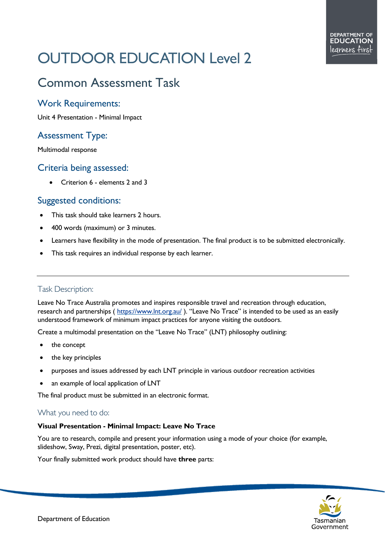# OUTDOOR EDUCATION Level 2

# Common Assessment Task

# Work Requirements:

Unit 4 Presentation - Minimal Impact

# Assessment Type:

Multimodal response

## Criteria being assessed:

• Criterion 6 - elements 2 and 3

# Suggested conditions:

- This task should take learners 2 hours.
- 400 words (maximum) or 3 minutes.
- Learners have flexibility in the mode of presentation. The final product is to be submitted electronically.
- This task requires an individual response by each learner.

## Task Description:

Leave No Trace Australia promotes and inspires responsible travel and recreation through education, research and partnerships (<https://www.lnt.org.au/> ). "Leave No Trace" is intended to be used as an easily understood framework of minimum impact practices for anyone visiting the outdoors.

Create a multimodal presentation on the "Leave No Trace" (LNT) philosophy outlining:

- the concept
- the key principles
- purposes and issues addressed by each LNT principle in various outdoor recreation activities
- an example of local application of LNT

The final product must be submitted in an electronic format.

#### What you need to do:

#### **Visual Presentation - Minimal Impact: Leave No Trace**

You are to research, compile and present your information using a mode of your choice (for example, slideshow, Sway, Prezi, digital presentation, poster, etc).

Your finally submitted work product should have **three** parts: